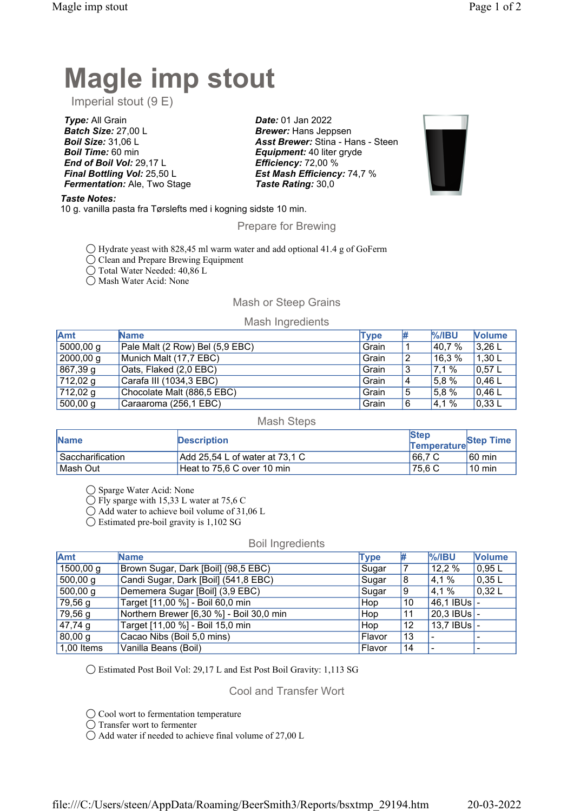# Magle imp stout

Imperial stout (9 E)

Type: All Grain Batch Size: 27,00 L Boil Size: 31,06 L **Boil Time: 60 min** End of Boil Vol: 29,17 L Final Bottling Vol: 25,50 L Fermentation: Ale, Two Stage

Taste Notes:

10 g. vanilla pasta fra Tørslefts med i kogning sidste 10 min.

Prepare for Brewing

Date: 01 Jan 2022 **Brewer: Hans Jeppsen** 

Taste Rating: 30,0

Asst Brewer: Stina - Hans - Steen

**Equipment: 40 liter gryde** Efficiency: 72,00 %

Est Mash Efficiency: 74,7 %

- ◯ Hydrate yeast with 828,45 ml warm water and add optional 41.4 g of GoFerm
- ◯ Clean and Prepare Brewing Equipment
- ◯ Total Water Needed: 40,86 L

◯ Mash Water Acid: None

# Mash or Steep Grains

## Mash Ingredients

| Amt       | <b>Name</b>                     | <b>Type</b> | # | $%$ /IBU | <b>Volume</b>  |
|-----------|---------------------------------|-------------|---|----------|----------------|
| 5000,00 g | Pale Malt (2 Row) Bel (5,9 EBC) | Grain       |   | 40,7 %   | $13,26$ L      |
| 2000,00 g | Munich Malt (17,7 EBC)          | Grain       |   | 16.3%    | '1,30L         |
| 867,39 g  | Oats, Flaked (2,0 EBC)          | Grain       | C | 17,1 %   | $10,57$ L      |
| 712,02g   | Carafa III (1034,3 EBC)         | Grain       | 4 | 5.8%     | 0.46           |
| 712,02 g  | Chocolate Malt (886,5 EBC)      | Grain       | 5 | 5.8%     | 0,46           |
| 500,00 g  | Caraaroma (256,1 EBC)           | Grain       |   | 4,1%     | $\vert$ 0,33 L |

#### Mash Steps

| <b>Name</b>      | <b>Description</b>                    | <b>Step</b><br>Temperature | Step Time        |
|------------------|---------------------------------------|----------------------------|------------------|
| Saccharification | $\mid$ Add 25,54 L of water at 73,1 C | 66.7 C                     | $60 \text{ min}$ |
| l Mash Out       | Heat to 75.6 C over 10 min            | 75.6 C                     | $10 \text{ min}$ |

◯ Sparge Water Acid: None

◯ Fly sparge with 15,33 L water at 75,6 C

◯ Add water to achieve boil volume of 31,06 L

◯ Estimated pre-boil gravity is 1,102 SG

### Boil Ingredients

| <b>Amt</b>   | <b>Name</b>                              | <b>Type</b> | ₩  | $%$ /IBU              | <b>Volume</b> |
|--------------|------------------------------------------|-------------|----|-----------------------|---------------|
| 1500,00 g    | Brown Sugar, Dark [Boil] (98,5 EBC)      | Sugar       |    | 12,2 %                | 0.95L         |
| 500,00 g     | Candi Sugar, Dark [Boil] (541,8 EBC)     | Sugar       | 8  | 4,1 %                 | 0.35L         |
| 500,00 g     | Dememera Sugar [Boil] (3,9 EBC)          | Sugar       | 9  | 4,1 %                 | 0,32L         |
| 79,56 g      | Target [11,00 %] - Boil 60,0 min         | Hop         | 10 | $ 46,1$ IBUs $ -$     |               |
| 79,56 g      | Northern Brewer [6,30 %] - Boil 30,0 min | Hop         | 11 | 20.3 IBUs -           |               |
| $47,74$ g    | Target [11,00 %] - Boil 15,0 min         | Hop         | 12 | $13.7$ IBUs $\vert$ - |               |
| 80,00 g      | Cacao Nibs (Boil 5,0 mins)               | Flavor      | 13 |                       |               |
| $1,00$ Items | Vanilla Beans (Boil)                     | Flavor      | 14 |                       |               |

◯ Estimated Post Boil Vol: 29,17 L and Est Post Boil Gravity: 1,113 SG

# Cool and Transfer Wort

◯ Cool wort to fermentation temperature

◯ Transfer wort to fermenter

◯ Add water if needed to achieve final volume of 27,00 L